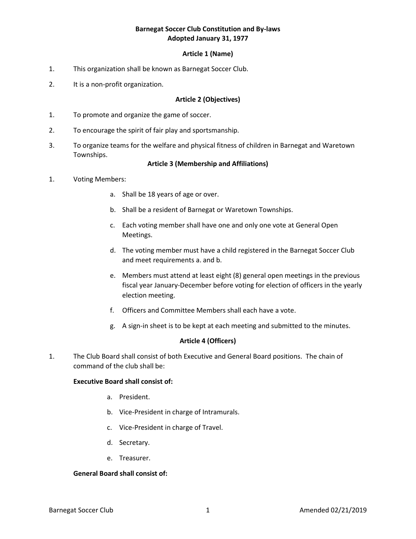#### **Article 1 (Name)**

- 1. This organization shall be known as Barnegat Soccer Club.
- 2. It is a non-profit organization.

#### **Article 2 (Objectives)**

- 1. To promote and organize the game of soccer.
- 2. To encourage the spirit of fair play and sportsmanship.
- 3. To organize teams for the welfare and physical fitness of children in Barnegat and Waretown Townships.

#### **Article 3 (Membership and Affiliations)**

#### 1. Voting Members:

- a. Shall be 18 years of age or over.
- b. Shall be a resident of Barnegat or Waretown Townships.
- c. Each voting member shall have one and only one vote at General Open Meetings.
- d. The voting member must have a child registered in the Barnegat Soccer Club and meet requirements a. and b.
- e. Members must attend at least eight (8) general open meetings in the previous fiscal year January-December before voting for election of officers in the yearly election meeting.
- f. Officers and Committee Members shall each have a vote.
- g. A sign-in sheet is to be kept at each meeting and submitted to the minutes.

#### **Article 4 (Officers)**

1. The Club Board shall consist of both Executive and General Board positions. The chain of command of the club shall be:

#### **Executive Board shall consist of:**

- a. President.
- b. Vice-President in charge of Intramurals.
- c. Vice-President in charge of Travel.
- d. Secretary.
- e. Treasurer.

# **General Board shall consist of:**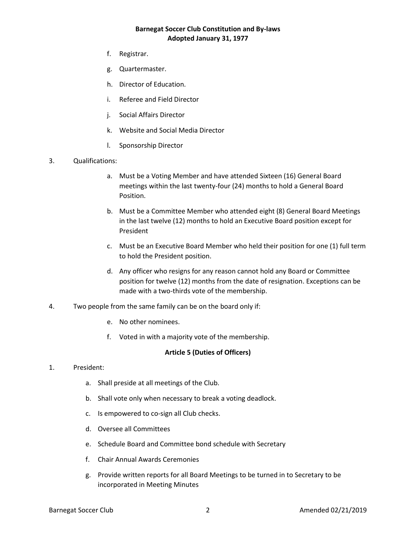- f. Registrar.
- g. Quartermaster.
- h. Director of Education.
- i. Referee and Field Director
- j. Social Affairs Director
- k. Website and Social Media Director
- l. Sponsorship Director
- 3. Qualifications:
	- a. Must be a Voting Member and have attended Sixteen (16) General Board meetings within the last twenty-four (24) months to hold a General Board Position.
	- b. Must be a Committee Member who attended eight (8) General Board Meetings in the last twelve (12) months to hold an Executive Board position except for President
	- c. Must be an Executive Board Member who held their position for one (1) full term to hold the President position.
	- d. Any officer who resigns for any reason cannot hold any Board or Committee position for twelve (12) months from the date of resignation. Exceptions can be made with a two-thirds vote of the membership.
- 4. Two people from the same family can be on the board only if:
	- e. No other nominees.
	- f. Voted in with a majority vote of the membership.

## **Article 5 (Duties of Officers)**

- 1. President:
	- a. Shall preside at all meetings of the Club.
	- b. Shall vote only when necessary to break a voting deadlock.
	- c. Is empowered to co-sign all Club checks.
	- d. Oversee all Committees
	- e. Schedule Board and Committee bond schedule with Secretary
	- f. Chair Annual Awards Ceremonies
	- g. Provide written reports for all Board Meetings to be turned in to Secretary to be incorporated in Meeting Minutes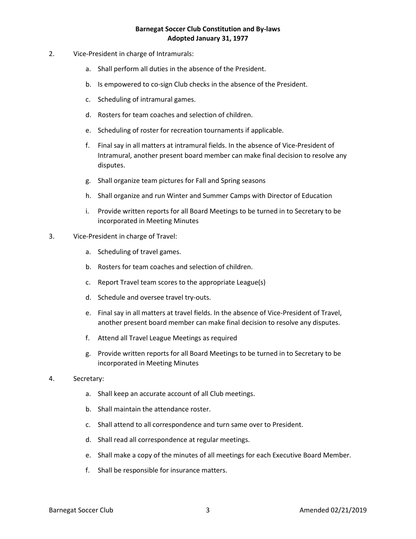- 2. Vice-President in charge of Intramurals:
	- a. Shall perform all duties in the absence of the President.
	- b. Is empowered to co-sign Club checks in the absence of the President.
	- c. Scheduling of intramural games.
	- d. Rosters for team coaches and selection of children.
	- e. Scheduling of roster for recreation tournaments if applicable.
	- f. Final say in all matters at intramural fields. In the absence of Vice-President of Intramural, another present board member can make final decision to resolve any disputes.
	- g. Shall organize team pictures for Fall and Spring seasons
	- h. Shall organize and run Winter and Summer Camps with Director of Education
	- i. Provide written reports for all Board Meetings to be turned in to Secretary to be incorporated in Meeting Minutes

#### 3. Vice-President in charge of Travel:

- a. Scheduling of travel games.
- b. Rosters for team coaches and selection of children.
- c. Report Travel team scores to the appropriate League(s)
- d. Schedule and oversee travel try-outs.
- e. Final say in all matters at travel fields. In the absence of Vice-President of Travel, another present board member can make final decision to resolve any disputes.
- f. Attend all Travel League Meetings as required
- g. Provide written reports for all Board Meetings to be turned in to Secretary to be incorporated in Meeting Minutes

#### 4. Secretary:

- a. Shall keep an accurate account of all Club meetings.
- b. Shall maintain the attendance roster.
- c. Shall attend to all correspondence and turn same over to President.
- d. Shall read all correspondence at regular meetings.
- e. Shall make a copy of the minutes of all meetings for each Executive Board Member.
- f. Shall be responsible for insurance matters.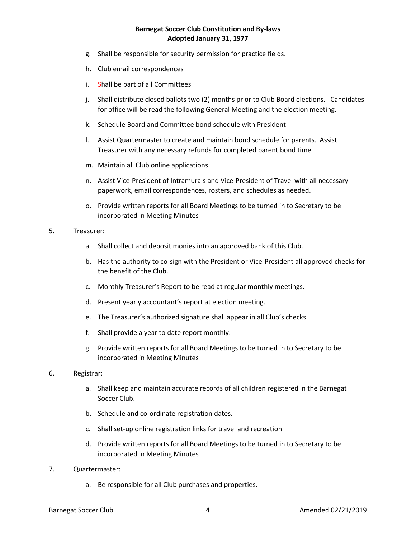- g. Shall be responsible for security permission for practice fields.
- h. Club email correspondences
- i. Shall be part of all Committees
- j. Shall distribute closed ballots two (2) months prior to Club Board elections. Candidates for office will be read the following General Meeting and the election meeting.
- k. Schedule Board and Committee bond schedule with President
- l. Assist Quartermaster to create and maintain bond schedule for parents. Assist Treasurer with any necessary refunds for completed parent bond time
- m. Maintain all Club online applications
- n. Assist Vice-President of Intramurals and Vice-President of Travel with all necessary paperwork, email correspondences, rosters, and schedules as needed.
- o. Provide written reports for all Board Meetings to be turned in to Secretary to be incorporated in Meeting Minutes

#### 5. Treasurer:

- a. Shall collect and deposit monies into an approved bank of this Club.
- b. Has the authority to co-sign with the President or Vice-President all approved checks for the benefit of the Club.
- c. Monthly Treasurer's Report to be read at regular monthly meetings.
- d. Present yearly accountant's report at election meeting.
- e. The Treasurer's authorized signature shall appear in all Club's checks.
- f. Shall provide a year to date report monthly.
- g. Provide written reports for all Board Meetings to be turned in to Secretary to be incorporated in Meeting Minutes
- 6. Registrar:
	- a. Shall keep and maintain accurate records of all children registered in the Barnegat Soccer Club.
	- b. Schedule and co-ordinate registration dates.
	- c. Shall set-up online registration links for travel and recreation
	- d. Provide written reports for all Board Meetings to be turned in to Secretary to be incorporated in Meeting Minutes
- 7. Quartermaster:
	- a. Be responsible for all Club purchases and properties.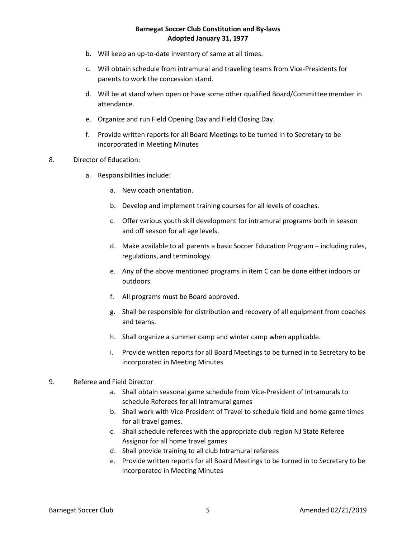- b. Will keep an up-to-date inventory of same at all times.
- c. Will obtain schedule from intramural and traveling teams from Vice-Presidents for parents to work the concession stand.
- d. Will be at stand when open or have some other qualified Board/Committee member in attendance.
- e. Organize and run Field Opening Day and Field Closing Day.
- f. Provide written reports for all Board Meetings to be turned in to Secretary to be incorporated in Meeting Minutes
- 8. Director of Education:
	- a. Responsibilities include:
		- a. New coach orientation.
		- b. Develop and implement training courses for all levels of coaches.
		- c. Offer various youth skill development for intramural programs both in season and off season for all age levels.
		- d. Make available to all parents a basic Soccer Education Program including rules, regulations, and terminology.
		- e. Any of the above mentioned programs in item C can be done either indoors or outdoors.
		- f. All programs must be Board approved.
		- g. Shall be responsible for distribution and recovery of all equipment from coaches and teams.
		- h. Shall organize a summer camp and winter camp when applicable.
		- i. Provide written reports for all Board Meetings to be turned in to Secretary to be incorporated in Meeting Minutes
- 9. Referee and Field Director
	- a. Shall obtain seasonal game schedule from Vice-President of Intramurals to schedule Referees for all Intramural games
	- b. Shall work with Vice-President of Travel to schedule field and home game times for all travel games.
	- c. Shall schedule referees with the appropriate club region NJ State Referee Assignor for all home travel games
	- d. Shall provide training to all club Intramural referees
	- e. Provide written reports for all Board Meetings to be turned in to Secretary to be incorporated in Meeting Minutes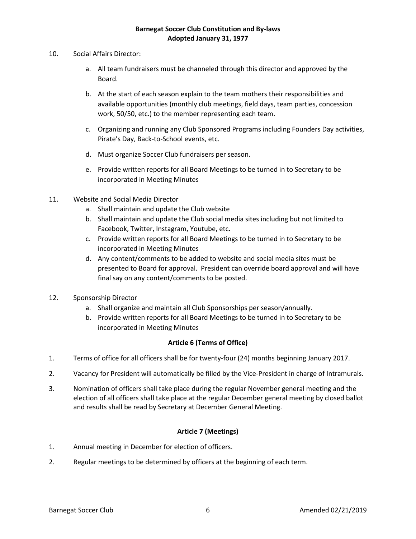- 10. Social Affairs Director:
	- a. All team fundraisers must be channeled through this director and approved by the Board.
	- b. At the start of each season explain to the team mothers their responsibilities and available opportunities (monthly club meetings, field days, team parties, concession work, 50/50, etc.) to the member representing each team.
	- c. Organizing and running any Club Sponsored Programs including Founders Day activities, Pirate's Day, Back-to-School events, etc.
	- d. Must organize Soccer Club fundraisers per season.
	- e. Provide written reports for all Board Meetings to be turned in to Secretary to be incorporated in Meeting Minutes
- 11. Website and Social Media Director
	- a. Shall maintain and update the Club website
	- b. Shall maintain and update the Club social media sites including but not limited to Facebook, Twitter, Instagram, Youtube, etc.
	- c. Provide written reports for all Board Meetings to be turned in to Secretary to be incorporated in Meeting Minutes
	- d. Any content/comments to be added to website and social media sites must be presented to Board for approval. President can override board approval and will have final say on any content/comments to be posted.
- 12. Sponsorship Director
	- a. Shall organize and maintain all Club Sponsorships per season/annually.
	- b. Provide written reports for all Board Meetings to be turned in to Secretary to be incorporated in Meeting Minutes

# **Article 6 (Terms of Office)**

- 1. Terms of office for all officers shall be for twenty-four (24) months beginning January 2017.
- 2. Vacancy for President will automatically be filled by the Vice-President in charge of Intramurals.
- 3. Nomination of officers shall take place during the regular November general meeting and the election of all officers shall take place at the regular December general meeting by closed ballot and results shall be read by Secretary at December General Meeting.

## **Article 7 (Meetings)**

- 1. Annual meeting in December for election of officers.
- 2. Regular meetings to be determined by officers at the beginning of each term.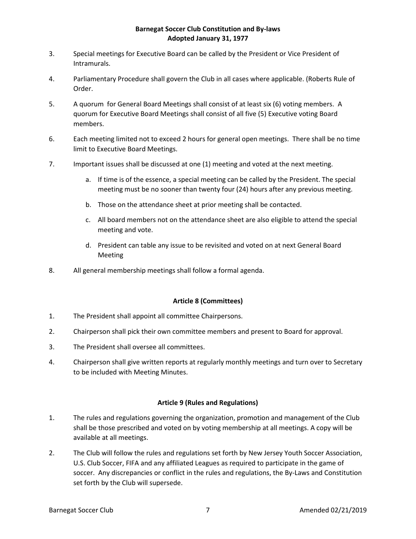- 3. Special meetings for Executive Board can be called by the President or Vice President of Intramurals.
- 4. Parliamentary Procedure shall govern the Club in all cases where applicable. (Roberts Rule of Order.
- 5. A quorum for General Board Meetings shall consist of at least six (6) voting members. A quorum for Executive Board Meetings shall consist of all five (5) Executive voting Board members.
- 6. Each meeting limited not to exceed 2 hours for general open meetings. There shall be no time limit to Executive Board Meetings.
- 7. Important issues shall be discussed at one (1) meeting and voted at the next meeting.
	- a. If time is of the essence, a special meeting can be called by the President. The special meeting must be no sooner than twenty four (24) hours after any previous meeting.
	- b. Those on the attendance sheet at prior meeting shall be contacted.
	- c. All board members not on the attendance sheet are also eligible to attend the special meeting and vote.
	- d. President can table any issue to be revisited and voted on at next General Board Meeting
- 8. All general membership meetings shall follow a formal agenda.

## **Article 8 (Committees)**

- 1. The President shall appoint all committee Chairpersons.
- 2. Chairperson shall pick their own committee members and present to Board for approval.
- 3. The President shall oversee all committees.
- 4. Chairperson shall give written reports at regularly monthly meetings and turn over to Secretary to be included with Meeting Minutes.

## **Article 9 (Rules and Regulations)**

- 1. The rules and regulations governing the organization, promotion and management of the Club shall be those prescribed and voted on by voting membership at all meetings. A copy will be available at all meetings.
- 2. The Club will follow the rules and regulations set forth by New Jersey Youth Soccer Association, U.S. Club Soccer, FIFA and any affiliated Leagues as required to participate in the game of soccer. Any discrepancies or conflict in the rules and regulations, the By-Laws and Constitution set forth by the Club will supersede.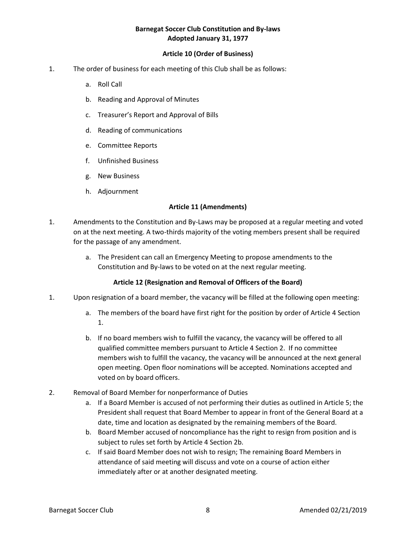## **Article 10 (Order of Business)**

- 1. The order of business for each meeting of this Club shall be as follows:
	- a. Roll Call
	- b. Reading and Approval of Minutes
	- c. Treasurer's Report and Approval of Bills
	- d. Reading of communications
	- e. Committee Reports
	- f. Unfinished Business
	- g. New Business
	- h. Adjournment

#### **Article 11 (Amendments)**

- 1. Amendments to the Constitution and By-Laws may be proposed at a regular meeting and voted on at the next meeting. A two-thirds majority of the voting members present shall be required for the passage of any amendment.
	- a. The President can call an Emergency Meeting to propose amendments to the Constitution and By-laws to be voted on at the next regular meeting.

## **Article 12 (Resignation and Removal of Officers of the Board)**

- 1. Upon resignation of a board member, the vacancy will be filled at the following open meeting:
	- a. The members of the board have first right for the position by order of Article 4 Section 1.
	- b. If no board members wish to fulfill the vacancy, the vacancy will be offered to all qualified committee members pursuant to Article 4 Section 2. If no committee members wish to fulfill the vacancy, the vacancy will be announced at the next general open meeting. Open floor nominations will be accepted. Nominations accepted and voted on by board officers.
- 2. Removal of Board Member for nonperformance of Duties
	- a. If a Board Member is accused of not performing their duties as outlined in Article 5; the President shall request that Board Member to appear in front of the General Board at a date, time and location as designated by the remaining members of the Board.
	- b. Board Member accused of noncompliance has the right to resign from position and is subject to rules set forth by Article 4 Section 2b.
	- c. If said Board Member does not wish to resign; The remaining Board Members in attendance of said meeting will discuss and vote on a course of action either immediately after or at another designated meeting.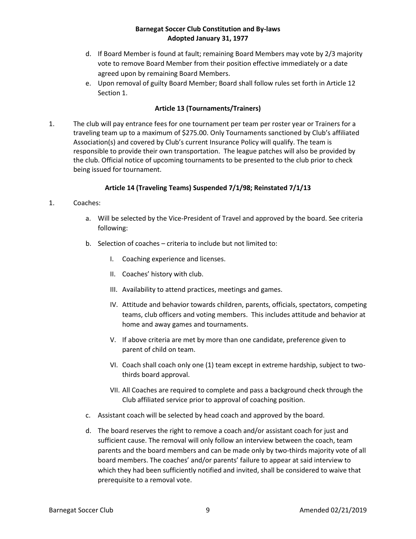- d. If Board Member is found at fault; remaining Board Members may vote by 2/3 majority vote to remove Board Member from their position effective immediately or a date agreed upon by remaining Board Members.
- e. Upon removal of guilty Board Member; Board shall follow rules set forth in Article 12 Section 1.

# **Article 13 (Tournaments/Trainers)**

1. The club will pay entrance fees for one tournament per team per roster year or Trainers for a traveling team up to a maximum of \$275.00. Only Tournaments sanctioned by Club's affiliated Association(s) and covered by Club's current Insurance Policy will qualify. The team is responsible to provide their own transportation. The league patches will also be provided by the club. Official notice of upcoming tournaments to be presented to the club prior to check being issued for tournament.

# **Article 14 (Traveling Teams) Suspended 7/1/98; Reinstated 7/1/13**

## 1. Coaches:

- a. Will be selected by the Vice-President of Travel and approved by the board. See criteria following:
- b. Selection of coaches criteria to include but not limited to:
	- I. Coaching experience and licenses.
	- II. Coaches' history with club.
	- III. Availability to attend practices, meetings and games.
	- IV. Attitude and behavior towards children, parents, officials, spectators, competing teams, club officers and voting members. This includes attitude and behavior at home and away games and tournaments.
	- V. If above criteria are met by more than one candidate, preference given to parent of child on team.
	- VI. Coach shall coach only one (1) team except in extreme hardship, subject to twothirds board approval.
	- VII. All Coaches are required to complete and pass a background check through the Club affiliated service prior to approval of coaching position.
- c. Assistant coach will be selected by head coach and approved by the board.
- d. The board reserves the right to remove a coach and/or assistant coach for just and sufficient cause. The removal will only follow an interview between the coach, team parents and the board members and can be made only by two-thirds majority vote of all board members. The coaches' and/or parents' failure to appear at said interview to which they had been sufficiently notified and invited, shall be considered to waive that prerequisite to a removal vote.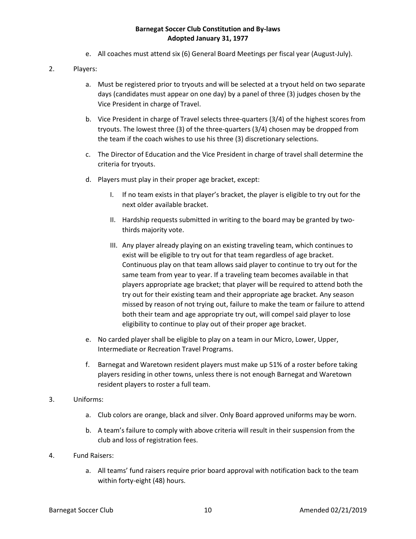e. All coaches must attend six (6) General Board Meetings per fiscal year (August-July).

# 2. Players:

- a. Must be registered prior to tryouts and will be selected at a tryout held on two separate days (candidates must appear on one day) by a panel of three (3) judges chosen by the Vice President in charge of Travel.
- b. Vice President in charge of Travel selects three-quarters (3/4) of the highest scores from tryouts. The lowest three (3) of the three-quarters (3/4) chosen may be dropped from the team if the coach wishes to use his three (3) discretionary selections.
- c. The Director of Education and the Vice President in charge of travel shall determine the criteria for tryouts.
- d. Players must play in their proper age bracket, except:
	- I. If no team exists in that player's bracket, the player is eligible to try out for the next older available bracket.
	- II. Hardship requests submitted in writing to the board may be granted by twothirds majority vote.
	- III. Any player already playing on an existing traveling team, which continues to exist will be eligible to try out for that team regardless of age bracket. Continuous play on that team allows said player to continue to try out for the same team from year to year. If a traveling team becomes available in that players appropriate age bracket; that player will be required to attend both the try out for their existing team and their appropriate age bracket. Any season missed by reason of not trying out, failure to make the team or failure to attend both their team and age appropriate try out, will compel said player to lose eligibility to continue to play out of their proper age bracket.
- e. No carded player shall be eligible to play on a team in our Micro, Lower, Upper, Intermediate or Recreation Travel Programs.
- f. Barnegat and Waretown resident players must make up 51% of a roster before taking players residing in other towns, unless there is not enough Barnegat and Waretown resident players to roster a full team.
- 3. Uniforms:
	- a. Club colors are orange, black and silver. Only Board approved uniforms may be worn.
	- b. A team's failure to comply with above criteria will result in their suspension from the club and loss of registration fees.
- 4. Fund Raisers:
	- a. All teams' fund raisers require prior board approval with notification back to the team within forty-eight (48) hours.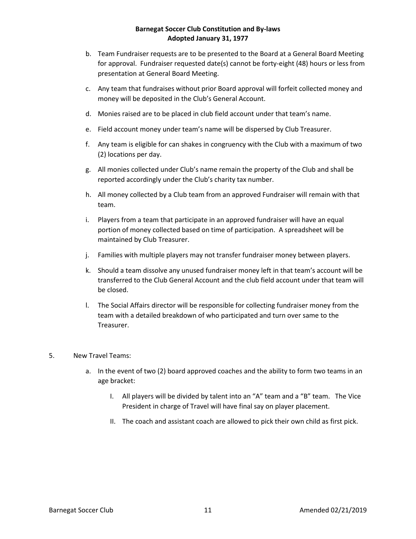- b. Team Fundraiser requests are to be presented to the Board at a General Board Meeting for approval. Fundraiser requested date(s) cannot be forty-eight (48) hours or less from presentation at General Board Meeting.
- c. Any team that fundraises without prior Board approval will forfeit collected money and money will be deposited in the Club's General Account.
- d. Monies raised are to be placed in club field account under that team's name.
- e. Field account money under team's name will be dispersed by Club Treasurer.
- f. Any team is eligible for can shakes in congruency with the Club with a maximum of two (2) locations per day.
- g. All monies collected under Club's name remain the property of the Club and shall be reported accordingly under the Club's charity tax number.
- h. All money collected by a Club team from an approved Fundraiser will remain with that team.
- i. Players from a team that participate in an approved fundraiser will have an equal portion of money collected based on time of participation. A spreadsheet will be maintained by Club Treasurer.
- j. Families with multiple players may not transfer fundraiser money between players.
- k. Should a team dissolve any unused fundraiser money left in that team's account will be transferred to the Club General Account and the club field account under that team will be closed.
- l. The Social Affairs director will be responsible for collecting fundraiser money from the team with a detailed breakdown of who participated and turn over same to the Treasurer.

## 5. New Travel Teams:

- a. In the event of two (2) board approved coaches and the ability to form two teams in an age bracket:
	- I. All players will be divided by talent into an "A" team and a "B" team. The Vice President in charge of Travel will have final say on player placement.
	- II. The coach and assistant coach are allowed to pick their own child as first pick.